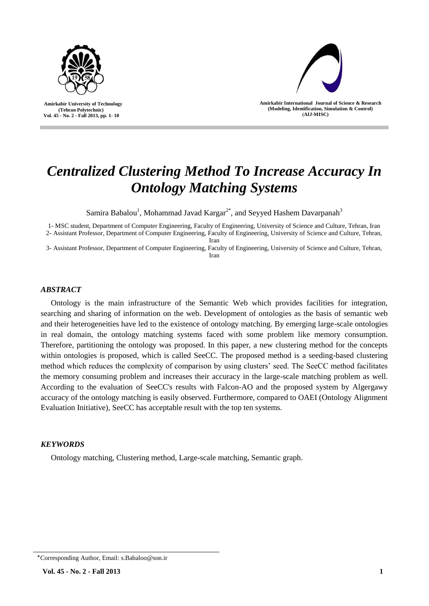

 **Amirkabir University of Technology (Tehran Polytechnic) Vol. 45 - No. 2 - Fall 2013, pp. 1- 10**



**Amirkabir International Journal of Science & Research (Modeling, Identification, Simulation & Control) )AIJ-MISC)**

# *Centralized Clustering Method To Increase Accuracy In Ontology Matching Systems*

Samira Babalou<sup>1</sup>, Mohammad Javad Kargar<sup>2\*</sup>, and Seyyed Hashem Davarpanah<sup>3</sup>

1- MSC student, Department of Computer Engineering, Faculty of Engineering, University of Science and Culture, Tehran, Iran 2- Assistant Professor, Department of Computer Engineering, Faculty of Engineering, University of Science and Culture, Tehran,

Iran

3- Assistant Professor, Department of Computer Engineering, Faculty of Engineering, University of Science and Culture, Tehran, Iran

# *ABSTRACT*

Ontology is the main infrastructure of the Semantic Web which provides facilities for integration, searching and sharing of information on the web. Development of ontologies as the basis of semantic web and their heterogeneities have led to the existence of ontology matching. By emerging large-scale ontologies in real domain, the ontology matching systems faced with some problem like memory consumption. Therefore, partitioning the ontology was proposed. In this paper, a new clustering method for the concepts within ontologies is proposed, which is called SeeCC. The proposed method is a seeding-based clustering method which reduces the complexity of comparison by using clusters' seed. The SeeCC method facilitates the memory consuming problem and increases their accuracy in the large-scale matching problem as well. According to the evaluation of SeeCC's results with Falcon-AO and the proposed system by Algergawy accuracy of the ontology matching is easily observed. Furthermore, compared to OAEI (Ontology Alignment Evaluation Initiative), SeeCC has acceptable result with the top ten systems.

## *KEYWORDS*

Ontology matching, Clustering method, Large-scale matching, Semantic graph.

<sup>٭</sup>Corresponding Author, Email: s.Babaloo@son.ir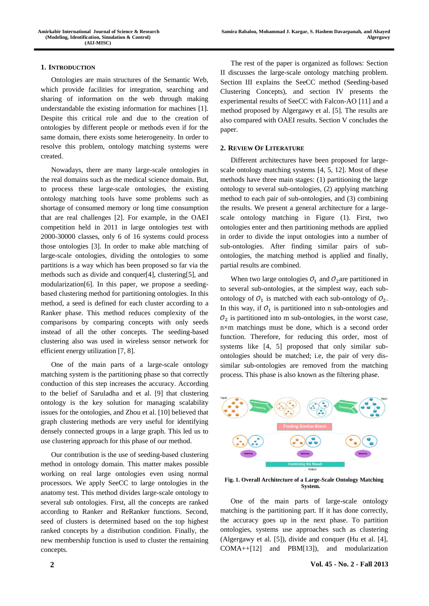## **1. INTRODUCTION**

Ontologies are main structures of the Semantic Web, which provide facilities for integration, searching and sharing of information on the web through making understandable the existing information for machines [1]. Despite this critical role and due to the creation of ontologies by different people or methods even if for the same domain, there exists some heterogeneity. In order to resolve this problem, ontology matching systems were created.

Nowadays, there are many large-scale ontologies in the real domains such as the medical science domain. But, to process these large-scale ontologies, the existing ontology matching tools have some problems such as shortage of consumed memory or long time consumption that are real challenges [2]. For example, in the OAEI competition held in 2011 in large ontologies test with 2000-30000 classes, only 6 of 16 systems could process those ontologies [3]. In order to make able matching of large-scale ontologies, dividing the ontologies to some partitions is a way which has been proposed so far via the methods such as divide and conquer[4], clustering[5], and modularization[6]. In this paper, we propose a seedingbased clustering method for partitioning ontologies. In this method, a seed is defined for each cluster according to a Ranker phase. This method reduces complexity of the comparisons by comparing concepts with only seeds instead of all the other concepts. The seeding-based clustering also was used in wireless sensor network for efficient energy utilization [7, 8].

One of the main parts of a large-scale ontology matching system is the partitioning phase so that correctly conduction of this step increases the accuracy. According to the belief of Saruladha and et al. [9] that clustering ontology is the key solution for managing scalability issues for the ontologies, and Zhou et al. [10] believed that graph clustering methods are very useful for identifying densely connected groups in a large graph. This led us to use clustering approach for this phase of our method.

Our contribution is the use of seeding-based clustering method in ontology domain. This matter makes possible working on real large ontologies even using normal processors. We apply SeeCC to large ontologies in the anatomy test. This method divides large-scale ontology to several sub ontologies. First, all the concepts are ranked according to Ranker and ReRanker functions. Second, seed of clusters is determined based on the top highest ranked concepts by a distribution condition. Finally, the new membership function is used to cluster the remaining concepts.

The rest of the paper is organized as follows: Section II discusses the large-scale ontology matching problem. Section III explains the SeeCC method (Seeding-based Clustering Concepts), and section IV presents the experimental results of SeeCC with Falcon-AO [11] and a method proposed by Algergawy et al. [5]. The results are also compared with OAEI results. Section V concludes the paper.

#### **2. REVIEW OF LITERATURE**

Different architectures have been proposed for largescale ontology matching systems [4, 5, 12]. Most of these methods have three main stages: (1) partitioning the large ontology to several sub-ontologies, (2) applying matching method to each pair of sub-ontologies, and (3) combining the results. We present a general architecture for a largescale ontology matching in Figure (1). First, two ontologies enter and then partitioning methods are applied in order to divide the input ontologies into a number of sub-ontologies. After finding similar pairs of subontologies, the matching method is applied and finally, partial results are combined.

When two large ontologies  $\mathcal{O}_1$  and  $\mathcal{O}_2$  are partitioned in to several sub-ontologies, at the simplest way, each subontology of  $\mathcal{O}_1$  is matched with each sub-ontology of  $\mathcal{O}_2$ . In this way, if  $O_1$  is partitioned into n sub-ontologies and  $\mathcal{O}_2$  is partitioned into m sub-ontologies, in the worst case, n×m matchings must be done, which is a second order function. Therefore, for reducing this order, most of systems like [4, 5] proposed that only similar subontologies should be matched; i.e, the pair of very dissimilar sub-ontologies are removed from the matching process. This phase is also known as the filtering phase.



**Fig. 1. Overall Architecture of a Large-Scale Ontology Matching System.**

One of the main parts of large-scale ontology matching is the partitioning part. If it has done correctly, the accuracy goes up in the next phase. To partition ontologies, systems use approaches such as clustering (Algergawy et al. [5]), divide and conquer (Hu et al. [4], COMA++[12] and PBM[13]), and modularization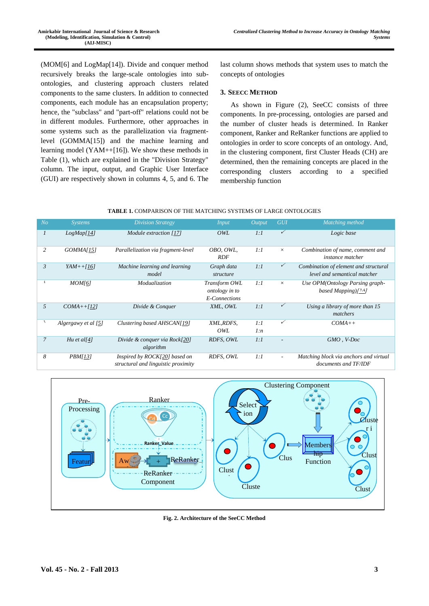(MOM[6] and LogMap[14]). Divide and conquer method recursively breaks the large-scale ontologies into subontologies, and clustering approach clusters related components to the same clusters. In addition to connected components, each module has an encapsulation property; hence, the "subclass" and "part-off" relations could not be in different modules. Furthermore, other approaches in some systems such as the parallelization via fragmentlevel (GOMMA[15]) and the machine learning and learning model (YAM++[16]). We show these methods in Table (1), which are explained in the "Division Strategy" column. The input, output, and Graphic User Interface (GUI) are respectively shown in columns 4, 5, and 6. The

last column shows methods that system uses to match the concepts of ontologies

#### **3. SEECC METHOD**

As shown in Figure (2), SeeCC consists of three components. In pre-processing, ontologies are parsed and the number of cluster heads is determined. In Ranker component, Ranker and ReRanker functions are applied to ontologies in order to score concepts of an ontology. And, in the clustering component, first Cluster Heads (CH) are determined, then the remaining concepts are placed in the corresponding clusters according to a specified membership function

| <b>TABLE 1.</b> COMPARISON OF THE MATCHING SYSTEMS OF LARGE ONTOLOGIES |
|------------------------------------------------------------------------|
|------------------------------------------------------------------------|

| N <sub>O</sub> | <i>Systems</i>      | <b>Division Strategy</b>                                             | <i>Input</i>                                     | Output     | <b>GUI</b>               | Matching method                                                       |
|----------------|---------------------|----------------------------------------------------------------------|--------------------------------------------------|------------|--------------------------|-----------------------------------------------------------------------|
| 1              | LogMap[14]          | Module extraction [17]                                               | OWL                                              | 1:1        | $\checkmark$             | Logic base                                                            |
| 2              | GOMMA[15]           | Parallelization via fragment-level                                   | OBO, OWL,<br><b>RDF</b>                          | 1:1        | $\times$                 | Combination of name, comment and<br><i>instance matcher</i>           |
| $\mathfrak{Z}$ | $YAM++[16]$         | Machine learning and learning<br>model                               | Graph data<br>structure                          | 1:1        | $\checkmark$             | Combination of element and structural<br>level and semantical matcher |
| ٤              | MOM[6]              | Modualization                                                        | Transform OWL<br>ontology in to<br>E-Connections | 1:1        | $\times$                 | Use OPM(Ontology Parsing graph-<br>based Mapping)[14]                 |
| 5              | $COMA++[12]$        | Divide & Conquer                                                     | XML, OWL                                         | 1:1        | $\checkmark$             | Using a library of more than 15<br>matchers                           |
| ٦              | Algergawy et al [5] | Clustering based AHSCAN[19]                                          | XML,RDFS,<br>OWL                                 | 1:1<br>1:n | ✓                        | $COMA++$                                                              |
| $\overline{7}$ | Hu et al[4]         | Divide & conquer via Rock[20]<br>algorithm                           | RDFS, OWL                                        | 1:1        | $\overline{\phantom{a}}$ | $GMO$ , V- $Doc$                                                      |
| 8              | <i>PBM[13]</i>      | Inspired by ROCK[20] based on<br>structural and linguistic proximity | RDFS, OWL                                        | 1:1        | $\sim$                   | Matching block via anchors and virtual<br>documents and TF/IDF        |



**Fig. 2. Architecture of the SeeCC Method**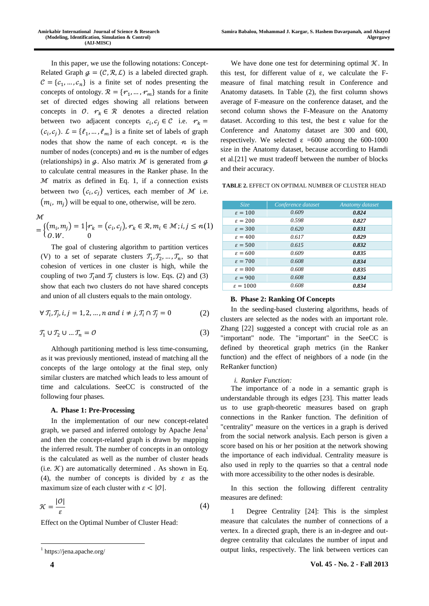In this paper, we use the following notations: Concept-Related Graph  $g = (C, R, L)$  is a labeled directed graph.  $C = \{c_1, ..., c_n\}$  is a finite set of nodes presenting the concepts of ontology.  $\mathcal{R} = \{r_1, ..., r_m\}$  stands for a finite set of directed edges showing all relations between concepts in  $O. \rightharpoonup r_k \in \mathcal{R}$  denotes a directed relation between two adjacent concepts  $c_i, c_j \in \mathcal{C}$  i.e.  $r_k =$  $(c_i, c_j)$ .  $\mathcal{L} = \{\ell_1, ..., \ell_m\}$  is a finite set of labels of graph nodes that show the name of each concept.  $n$  is the number of nodes (concepts) and  $m$  is the number of edges (relationships) in  $q$ . Also matrix  $M$  is generated from  $q$ to calculate central measures in the Ranker phase. In the  $M$  matrix as defined in Eq. 1, if a connection exists between two  $(c_i, c_j)$  vertices, each member of M i.e.  $(m_i, m_j)$  will be equal to one, otherwise, will be zero.

ℳ

 $=\{(m_i, m_j) = 1 | r_k = (c_i, c_j), r_k \in \mathcal{R}, m_i \in \mathcal{M}; i, j \leq n \}$  $0. W. 0$ (1)

The goal of clustering algorithm to partition vertices (V) to a set of separate clusters  $T_1, T_2, ..., T_n$ , so that cohesion of vertices in one cluster is high, while the coupling of two  $T_i$  and  $T_i$  clusters is low. Eqs. (2) and (3) show that each two clusters do not have shared concepts and union of all clusters equals to the main ontology.

$$
\forall T_i, T_j, i, j = 1, 2, ..., n \text{ and } i \neq j, T_i \cap T_j = 0 \tag{2}
$$

$$
\mathcal{T}_1 \cup \mathcal{T}_2 \cup \dots \mathcal{T}_n = 0 \tag{3}
$$

Although partitioning method is less time-consuming, as it was previously mentioned, instead of matching all the concepts of the large ontology at the final step, only similar clusters are matched which leads to less amount of time and calculations. SeeCC is constructed of the following four phases.

## **A. Phase 1: Pre-Processing**

In the implementation of our new concept-related graph, we parsed and inferred ontology by Apache Jena<sup>1</sup> and then the concept-related graph is drawn by mapping the inferred result. The number of concepts in an ontology is the calculated as well as the number of cluster heads (i.e.  $K$ ) are automatically determined . As shown in Eq. (4), the number of concepts is divided by  $\varepsilon$  as the maximum size of each cluster with  $\varepsilon < |0|$ .

$$
\mathcal{K} = \frac{|\mathcal{O}|}{\varepsilon} \tag{4}
$$

Effect on the Optimal Number of Cluster Head:

 $\overline{a}$ 

We have done one test for determining optimal  $K$ . In this test, for different value of  $ε$ , we calculate the Fmeasure of final matching result in Conference and Anatomy datasets. In Table (2), the first column shows average of F-measure on the conference dataset, and the second column shows the F-Measure on the Anatomy dataset. According to this test, the best ε value for the Conference and Anatomy dataset are 300 and 600, respectively. We selected  $ε = 600$  among the 600-1000 size in the Anatomy dataset, because according to Hamdi et al.[21] we must tradeoff between the number of blocks and their accuracy.

**TABLE 2.** EFFECT ON OPTIMAL NUMBER OF CLUSTER HEAD

| <i>Size</i>         | Conference dataset | Anatomy dataset |
|---------------------|--------------------|-----------------|
| $\epsilon = 100$    | 0.609              | 0.824           |
| $\epsilon = 200$    | 0.598              | 0.827           |
| $\epsilon = 300$    | 0.620              | 0.831           |
| $\varepsilon = 400$ | 0.617              | 0.829           |
| $\epsilon = 500$    | 0.615              | 0.832           |
| $\epsilon = 600$    | 0.609              | 0.835           |
| $\epsilon = 700$    | 0.608              | 0.834           |
| $\epsilon = 800$    | 0.608              | 0.835           |
| $\epsilon = 900$    | 0.608              | 0.834           |
| $\epsilon = 1000$   | 0.608              | 0.834           |

# **B. Phase 2: Ranking Of Concepts**

In the seeding-based clustering algorithms, heads of clusters are selected as the nodes with an important role. Zhang [22] suggested a concept with crucial role as an "important" node. The "important" in the SeeCC is defined by theoretical graph metrics (in the Ranker function) and the effect of neighbors of a node (in the ReRanker function)

## *i. Ranker Function:*

The importance of a node in a semantic graph is understandable through its edges [23]. This matter leads us to use graph-theoretic measures based on graph connections in the Ranker function. The definition of "centrality" measure on the vertices in a graph is derived from the social network analysis. Each person is given a score based on his or her position at the network showing the importance of each individual. Centrality measure is also used in reply to the quarries so that a central node with more accessibility to the other nodes is desirable.

In this section the following different centrality measures are defined:

1 Degree Centrality [24]: This is the simplest measure that calculates the number of connections of a vertex. In a directed graph, there is an in-degree and outdegree centrality that calculates the number of input and output links, respectively. The link between vertices can

<sup>1</sup> https://jena.apache.org/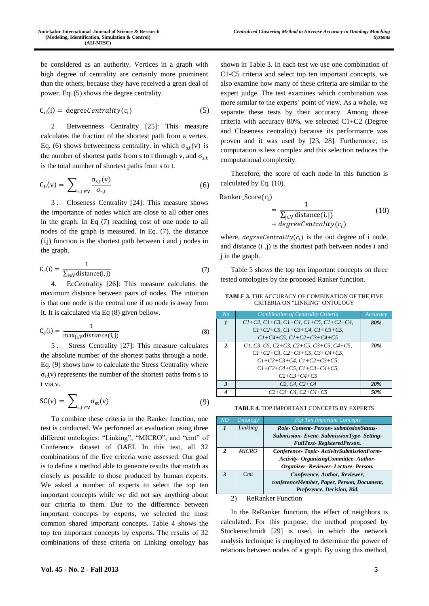be considered as an authority. Vertices in a graph with high degree of centrality are certainly more prominent than the others, because they have received a great deal of power. Eq. (5) shows the degree centrality.

$$
C_{d}(i) = degreeCentrality(c_{i})
$$
 (5)

2 Betweenness Centrality [25]: This measure calculates the fraction of the shortest path from a vertex. Eq. (6) shows betweenness centrality, in which  $\sigma_{s,t}(v)$  is the number of shortest paths from s to t through v, and  $\sigma_{s,t}$ is the total number of shortest paths from s to t.

$$
C_{b}(v) = \sum_{s,t \in V} \frac{\sigma_{s,t}(v)}{\sigma_{s,t}}
$$
 (6)

3 . Closeness Centrality [24]: This measure shows the importance of nodes which are close to all other ones in the graph. In Eq (7) reaching cost of one node to all nodes of the graph is measured. In Eq. (7), the distance (i,j) function is the shortest path between i and j nodes in the graph.

$$
C_c(i) = \frac{1}{\sum_{j \in V} \text{distance}(i, j)}
$$
(7)

4. EcCentrality [26]: This measure calculates the maximum distance between pairs of nodes. The intuition is that one node is the central one if no node is away from it. It is calculated via Eq (8) given bellow.

$$
C_e(i) = \frac{1}{\max_{j \in V} distance(i, j)}
$$
\n(8)

5 . Stress Centrality [27]: This measure calculates the absolute number of the shortest paths through a node. Eq. (9) shows how to calculate the Stress Centrality where  $\sigma_{st}(v)$  represents the number of the shortest paths from s to t via v.

$$
SC(v) = \sum_{s,t \in V} \sigma_{st}(v) \tag{9}
$$

To combine these criteria in the Ranker function, one test is conducted. We performed an evaluation using three different ontologies: "Linking", "MICRO", and "cmt" of Conference dataset of OAEI. In this test, all 32 combinations of the five criteria were assessed. Our goal is to define a method able to generate results that match as closely as possible to those produced by human experts. We asked a number of experts to select the top ten important concepts while we did not say anything about our criteria to them. Due to the difference between important concepts by experts, we selected the most common shared important concepts. Table 4 shows the top ten important concepts by experts. The results of 32 combinations of these criteria on Linking ontology has

shown in Table 3. In each test we use one combination of C1-C5 criteria and select top ten important concepts, we also examine how many of these criteria are similar to the expert judge. The test examines which combination was more similar to the experts' point of view. As a whole, we separate these tests by their accuracy. Among those criteria with accuracy 80%, we selected C1+C2 (Degree and Closeness centrality) because its performance was proven and it was used by [23, 28]. Furthermore, its computation is less complex and this selection reduces the computational complexity.

Therefore, the score of each node in this function is calculated by Eq. (10).

$$
Ranker\_Score(c_i)
$$
  
= 
$$
\frac{1}{\sum_{j \in V} \text{distance}(i,j)}
$$
  
+ 
$$
degreeCentrality(c_i)
$$
 (10)

where,  $degreeCentrality(c_i)$  is the out degree of i node, and distance (i ,j) is the shortest path between nodes i and j in the graph.

Table 5 shows the top ten important concepts on three tested ontologies by the proposed Ranker function.

**TABLE 3.** THE ACCURACY OF COMBINATION OF THE FIVE CRITERIA ON "LINKING" ONTOLOGY

| $N$ o          | Combination of Centrality Criteria                   | Accuracy |
|----------------|------------------------------------------------------|----------|
|                | $C1+C2$ , $C1+C3$ , $C1+C4$ , $C1+C5$ , $C1+C2+C4$ , | 80%      |
|                | $C1 + C2 + C5$ , $C1 + C3 + C4$ , $C1 + C3 + C5$ ,   |          |
|                | $C1 + C4 + C5$ , $C1 + C2 + C3 + C4 + C5$            |          |
| $\mathfrak{D}$ | C1, C3, C5, C2+C3, C2+C5, C3+C5, C4+C5,              | 70%      |
|                | $C1 + C2 + C3$ , $C2 + C3 + C5$ , $C3 + C4 + C5$ ,   |          |
|                | $C1+C2+C3+C4$ , $C1+C2+C3+C5$ ,                      |          |
|                | $C1+C2+C4+C5$ , $C1+C3+C4+C5$ ,                      |          |
|                | $C2+C3+C4+C5$                                        |          |
| 3              | $C2, C4, C2+C4$                                      | 20%      |
|                | $C2+C3+C4, C2+C4+C5$                                 | 50%      |

**TABLE 4.** TOP IMPORTANT CONCEPTS BY EXPERTS

| $\overline{NO}$          | <b>Ontology</b> | <b>Top Ten Important Concepts</b>          |  |
|--------------------------|-----------------|--------------------------------------------|--|
| $\mathbf{I}$             | Linkling        | Role-Content-Person-submissionStatus-      |  |
|                          |                 | Submission-Event-SubmissionType-Setting-   |  |
|                          |                 | <b>FullText-RegisteredPerson.</b>          |  |
| $\mathcal{L}$            | <b>MICRO</b>    | Conference-Topic-ActivitySubmissionForm-   |  |
|                          |                 | Activity- Organizing Committee- Author-    |  |
|                          |                 | Organizer-Reviewer-Lecture-Person.         |  |
| $\mathbf{3}$             | Cmt             | Conference, Author, Reviewer,              |  |
|                          |                 | conferenceMember, Paper, Person, Document, |  |
|                          |                 | Preference, Decision, Bid.                 |  |
| <b>ReRanker Function</b> |                 |                                            |  |

In the ReRanker function, the effect of neighbors is calculated. For this purpose, the method proposed by Stuckenschmidt [29] is used, in which the network analysis technique is employed to determine the power of relations between nodes of a graph. By using this method,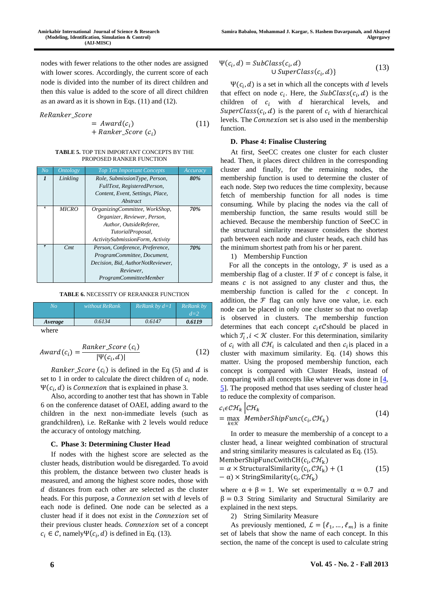nodes with fewer relations to the other nodes are assigned with lower scores. Accordingly, the current score of each node is divided into the number of its direct children and then this value is added to the score of all direct children as an award as it is shown in Eqs. (11) and (12).

$$
ReRanker\_Score
$$

$$
= Award(c_i)
$$
  
+ Ranker\_Score (c<sub>i</sub>) (1

(11)

#### **TABLE 5.** TOP TEN IMPORTANT CONCEPTS BY THE PROPOSED RANKER FUNCTION

| N <sub>O</sub> | <i><b>Ontology</b></i> | <b>Top Ten Important Concepts</b> | Accuracy |
|----------------|------------------------|-----------------------------------|----------|
| $\mathbf{I}$   | Linkling               | Role, SubmissionType, Person,     | 80%      |
|                |                        | FullText, RegisteredPerson,       |          |
|                |                        | Content, Event, Settings, Place,  |          |
|                |                        | Abstract                          |          |
| ۲              | <b>MICRO</b>           | OrganizingCommittee, WorkShop,    | 70%      |
|                |                        | Organizer, Reviewer, Person,      |          |
|                |                        | Author, OutsideReferee,           |          |
|                |                        | TutorialProposal,                 |          |
|                |                        | ActivitySubmissionForm, Activity  |          |
|                | Cmt                    | Person, Conference, Preference,   | 70%      |
|                |                        | ProgramCommittee, Document,       |          |
|                |                        | Decision, Bid, AuthorNotReviewer, |          |
|                |                        | Reviewer.                         |          |
|                |                        | ProgramCommitteeMember            |          |

**TABLE 6.** NECESSITY OF RERANKER FUNCTION

| No      | without ReRank | ReRank by $d=1$ | ReRank by<br>$d=2$ |
|---------|----------------|-----------------|--------------------|
| Average | 0.6134         | 0.6147          | 0.6119             |
| where   |                |                 |                    |

$$
Award(c_i) = \frac{Ranker\_Score(c_i)}{|\Psi(c_i, d)|}
$$
(12)

*Ranker\_Score*  $(c_i)$  is defined in the Eq (5) and  $d$  is set to 1 in order to calculate the direct children of  $c_i$  node.  $\Psi(c_i, d)$  is *Connexion* that is explained in phase 3.

Also, according to another test that has shown in Table 6 on the conference dataset of OAEI, adding award to the children in the next non-immediate levels (such as grandchildren), i.e. ReRanke with 2 levels would reduce the accuracy of ontology matching.

## **C. Phase 3: Determining Cluster Head**

If nodes with the highest score are selected as the cluster heads, distribution would be disregarded. To avoid this problem, the distance between two cluster heads is measured, and among the highest score nodes, those with  $d$  distances from each other are selected as the cluster heads. For this purpose, a  $\emph{Connection}$  set with  $d$  levels of each node is defined. One node can be selected as a cluster head if it does not exist in the *Connexion* set of their previous cluster heads. Connexion set of a concept  $c_i \in \mathcal{C}$ , namely $\Psi(c_i, d)$  is defined in Eq. (13).

$$
\Psi(c_i, d) = SubClass(c_i, d)
$$
  
U SuperClass(c<sub>i</sub>, d) (13)

 $\Psi(c_i, d)$  is a set in which all the concepts with d levels that effect on node  $c_i$ . Here, the SubClass( $c_i$ , d) is the children of  $c_i$  with  $d$  hierarchical levels, and SuperClass( $c_i$ , d) is the parent of  $c_i$  with d hierarchical levels. The *Connexion* set is also used in the membership function.

# **D. Phase 4: Finalise Clustering**

At first, SeeCC creates one cluster for each cluster head. Then, it places direct children in the corresponding cluster and finally, for the remaining nodes, the membership function is used to determine the cluster of each node. Step two reduces the time complexity, because fetch of membership function for all nodes is time consuming. While by placing the nodes via the call of membership function, the same results would still be achieved. Because the membership function of SeeCC in the structural similarity measure considers the shortest path between each node and cluster heads, each child has the minimum shortest path from his or her parent.

1) Membership Function

For all the concepts in the ontology,  $F$  is used as a membership flag of a cluster. If  $\mathcal F$  of  $\mathcal C$  concept is false, it means  $c$  is not assigned to any cluster and thus, the membership function is called for the  $c$  concept. In addition, the  $F$  flag can only have one value, i.e. each node can be placed in only one cluster so that no overlap is observed in clusters. The membership function determines that each concept  $c_i \in \mathcal{C}$  should be placed in which  $T_i$ ,  $i < \mathcal{K}$  cluster. For this determination, similarity of  $c_i$  with all  $\mathcal{CH}_i$  is calculated and then  $c_i$  is placed in a cluster with maximum similarity. Eq. (14) shows this matter. Using the proposed membership function, each concept is compared with Cluster Heads, instead of comparing with all concepts like whatever was done in  $[4, 4]$  $[4, 4]$ [5\]](file:///C:/Users/behzad/Desktop/4879.docx%23_ENREF_5). The proposed method that uses seeding of cluster head to reduce the complexity of comparison.

$$
c_i \in \mathcal{CH}_k \Big| \mathcal{CH}_k
$$
  
= max  $\underset{k \in \mathcal{K}}{\text{Member} \{ \text{RipFunc}(c_i, \mathcal{CH}_k) \}} \Big| \tag{14}$ 

In order to measure the membership of a concept to a cluster head, a linear weighted combination of structural and string similarity measures is calculated as Eq. (15).

MemberShipFuncCwithCH( $c_i$ ,  $\mathcal{CH}_k$ )

$$
= α \times StructuralSimilarity(ci, \mathcal{CH}_{k}) + (1
$$
 (15)  
- α) × StringSimilarity(c<sub>i</sub>, \mathcal{CH}\_{k})

where  $\alpha + \beta = 1$ . We set experimentally  $\alpha = 0.7$  and  $β = 0.3$  String Similarity and Structural Similarity are explained in the next steps.

2) String Similarity Measure

As previously mentioned,  $\mathcal{L} = \{\ell_1, ..., \ell_m\}$  is a finite set of labels that show the name of each concept. In this section, the name of the concept is used to calculate string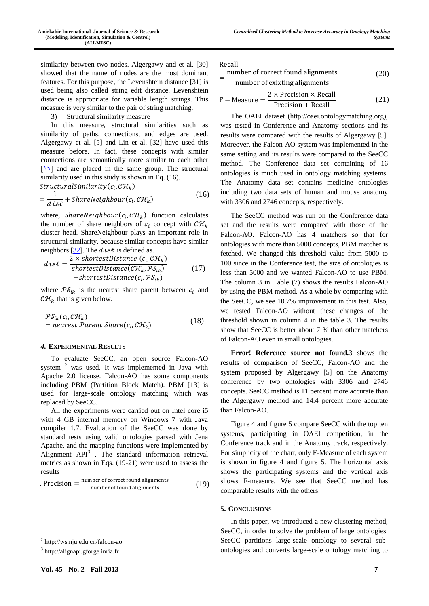3) Structural similarity measure

In this measure, structural similarities such as similarity of paths, connections, and edges are used. Algergawy et al. [5] and Lin et al. [32] have used this measure before. In fact, these concepts with similar connections are semantically more similar to each other  $[19]$  and are placed in the same group. The structural similarity used in this study is shown in Eq. (16).

$$
Structural Similarity(ci, \mathcal{CH}_{k})
$$
\n
$$
= \frac{1}{dist} + ShareNeighbour(ci, \mathcal{CH}_{k})
$$
\n(16)

where,  $ShareNeighbour(c_i, \mathcal{CH}_k)$  function calculates the number of share neighbors of  $c_i$  concept with  $\mathcal{CH}_k$ cluster head. ShareNeighbour plays an important role in structural similarity, because similar concepts have similar neighbors [\[32\]](file:///C:/Users/behzad/Desktop/4879.docx%23_ENREF_32). The  $dist$  is defined as.

$$
dist = \frac{2 \times shortestDistance (c_i, \mathcal{CH}_k)}{shortestDistance(\mathcal{CH}_k, \mathcal{PS}_{ik})}
$$
  
+shortestDistance (c\_i, \mathcal{PS}\_{ik}) (17)

where  $\mathcal{P} \mathcal{S}_{ik}$  is the nearest share parent between  $c_i$  and  $\mathcal{CH}_k$  that is given below.

$$
\mathcal{PS}_{ik}(c_i, \mathcal{CH}_k)
$$
  
= nearest Parent Share(c\_i, \mathcal{CH}\_k) (18)

#### *4.* **EXPERIMENTAL RESULTS**

To evaluate SeeCC, an open source Falcon-AO system <sup>2</sup> was used. It was implemented in Java with Apache 2.0 license. Falcon-AO has some components including PBM (Partition Block Match). PBM [13] is used for large-scale ontology matching which was replaced by SeeCC.

All the experiments were carried out on Intel core i5 with 4 GB internal memory on Windows 7 with Java compiler 1.7. Evaluation of the SeeCC was done by standard tests using valid ontologies parsed with Jena Apache, and the mapping functions were implemented by Alignment  $API<sup>3</sup>$ . The standard information retrieval metrics as shown in Eqs. (19-21) were used to assess the results

$$
. Precision = \frac{number\ of\ correct\ found\ alignments}{number\ of\ found\ alignments}
$$
 (19)

 $\overline{a}$ 

Recall

|    | number of correct found alignments                       | (20) |
|----|----------------------------------------------------------|------|
|    | number of exixting alignments                            |      |
| r. | $2 \times$ Precision $\times$ Recall<br>$M_{22}$ and $A$ |      |

$$
F - Measure = \frac{2 \times 1 \times 1 \times 1}{Precision + Recall}
$$
 (21)

The OAEI dataset (http://oaei.ontologymatching.org), was tested in Conference and Anatomy sections and its results were compared with the results of Algergawy [5]. Moreover, the Falcon-AO system was implemented in the same setting and its results were compared to the SeeCC method. The Conference data set containing of 16 ontologies is much used in ontology matching systems. The Anatomy data set contains medicine ontologies including two data sets of human and mouse anatomy with 3306 and 2746 concepts, respectively.

The SeeCC method was run on the Conference data set and the results were compared with those of the Falcon-AO. Falcon-AO has 4 matchers so that for ontologies with more than 5000 concepts, PBM matcher is fetched. We changed this threshold value from 5000 to 100 since in the Conference test, the size of ontologies is less than 5000 and we wanted Falcon-AO to use PBM. The column 3 in Table (7) shows the results Falcon-AO by using the PBM method. As a whole by comparing with the SeeCC, we see 10.7% improvement in this test. Also, we tested Falcon-AO without these changes of the threshold shown in column 4 in the table 3. The results show that SeeCC is better about 7 % than other matchers of Falcon-AO even in small ontologies.

**Error! Reference source not found.**3 shows the results of comparison of SeeCC, Falcon-AO and the system proposed by Algergawy [5] on the Anatomy conference by two ontologies with 3306 and 2746 concepts. SeeCC method is 11 percent more accurate than the Algergawy method and 14.4 percent more accurate than Falcon-AO.

Figure 4 and figure 5 compare SeeCC with the top ten systems, participating in OAEI competition, in the Conference track and in the Anatomy track, respectively. For simplicity of the chart, only F-Measure of each system is shown in figure 4 and figure 5. The horizontal axis shows the participating systems and the vertical axis shows F-measure. We see that SeeCC method has comparable results with the others.

#### **5. CONCLUSIONS**

In this paper, we introduced a new clustering method, SeeCC, in order to solve the problem of large ontologies. SeeCC partitions large-scale ontology to several subontologies and converts large-scale ontology matching to

<sup>2</sup> http://ws.nju.edu.cn/falcon-ao

<sup>3</sup> http://alignapi.gforge.inria.fr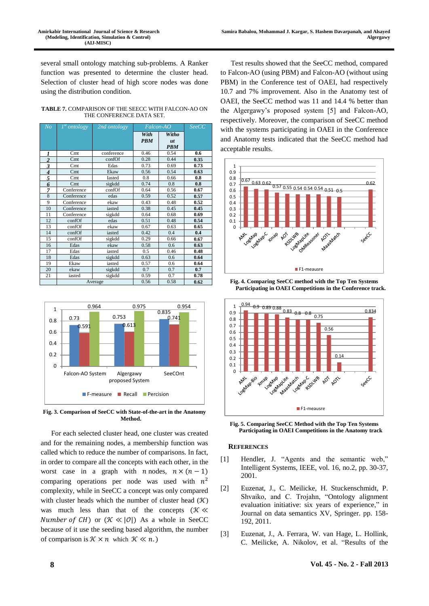several small ontology matching sub-problems. A Ranker function was presented to determine the cluster head. Selection of cluster head of high score nodes was done using the distribution condition.

**TABLE 7.** COMPARISON OF THE SEECC WITH FALCON-AO ON THE CONFERENCE DATA SET.

| No             | $1^{st}$ ontology | 2nd ontology | <i>Falcon-AO</i>   |                           | <i>SeeCC</i> |
|----------------|-------------------|--------------|--------------------|---------------------------|--------------|
|                |                   |              | With<br><b>PBM</b> | Witho<br>ut<br><b>PBM</b> |              |
| 1              | C <sub>mt</sub>   | conference   | 0.46               | 0.54                      | 0.6          |
| $\overline{c}$ | C <sub>mt</sub>   | confOf       | 0.28               | 0.44                      | 0.35         |
| 3              | Cmt               | Edas         | 0.73               | 0.69                      | 0.73         |
| 4              | C <sub>mt</sub>   | Ekaw         | 0.56               | 0.54                      | 0.63         |
| 5              | Cmt               | Iasted       | 0.8                | 0.66                      | 0.8          |
| 6              | C <sub>mt</sub>   | sigkdd       | 0.74               | 0.8                       | 0.8          |
| 7              | Conference        | confOf       | 0.64               | 0.56                      | 0.67         |
| 8              | Conference        | edas         | 0.59               | 0.52                      | 0.57         |
| 9              | Conference        | ekaw         | 0.43               | 0.48                      | 0.52         |
| 10             | Conference        | iasted       | 0.38               | 0.45                      | 0.45         |
| 11             | Conference        | sigkdd       | 0.64               | 0.68                      | 0.69         |
| 12             | confOf            | edas         | 0.51               | 0.48                      | 0.54         |
| 13             | confOf            | ekaw         | 0.67               | 0.63                      | 0.65         |
| 14             | confOf            | iasted       | 0.42               | 0.4                       | 0.4          |
| 15             | confOf            | sigkdd       | 0.29               | 0.66                      | 0.67         |
| 16             | Edas              | ekaw         | 0.58               | 0.6                       | 0.63         |
| 17             | Edas              | iasted       | 0.5                | 0.46                      | 0.48         |
| 18             | Edas              | sigkdd       | 0.63               | 0.6                       | 0.64         |
| 19             | Ekaw              | iasted       | 0.57               | 0.6                       | 0.64         |
| 20             | ekaw              | sigkdd       | 0.7                | 0.7                       | 0.7          |
| 21             | iasted            | sigkdd       | 0.59               | 0.7                       | 0.78         |
|                |                   | Average      | 0.56               | 0.58                      | 0.62         |



**Fig. 3. Comparison of SeeCC with State-of-the-art in the Anatomy Method.**

For each selected cluster head, one cluster was created and for the remaining nodes, a membership function was called which to reduce the number of comparisons. In fact, in order to compare all the concepts with each other, in the worst case in a graph with  $n \cdot n \cdot (n-1)$ comparing operations per node was used with  $n^2$ complexity, while in SeeCC a concept was only compared with cluster heads which the number of cluster head  $(\mathcal{K})$ was much less than that of the concepts ( $K \ll$ *Number of CH*) or  $(\mathcal{K} \ll |\mathcal{O}|)$  As a whole in SeeCC because of it use the seeding based algorithm, the number of comparison is  $K \times n$  which  $K \ll n$ .)

Test results showed that the SeeCC method, compared to Falcon-AO (using PBM) and Falcon-AO (without using PBM) in the Conference test of OAEI, had respectively 10.7 and 7% improvement. Also in the Anatomy test of OAEI, the SeeCC method was 11 and 14.4 % better than the Algergawy's proposed system [5] and Falcon-AO, respectively. Moreover, the comparison of SeeCC method with the systems participating in OAEI in the Conference and Anatomy tests indicated that the SeeCC method had acceptable results.



**Fig. 4. Comparing SeeCC method with the Top Ten Systems Participating in OAEI Competitions in the Conference track.**



**Fig. 5. Comparing SeeCC Method with the Top Ten Systems Participating in OAEI Competitions in the Anatomy track**

## **REFERENCES**

- [1] Hendler, J. "Agents and the semantic web," Intelligent Systems, IEEE, vol. 16, no.2, pp. 30-37, 2001.
- [2] Euzenat, J., C. Meilicke, H. Stuckenschmidt, P. Shvaiko, and C. Trojahn, "Ontology alignment evaluation initiative: six years of experience," in Journal on data semantics XV, Springer. pp. 158- 192, 2011.
- [3] Euzenat, J., A. Ferrara, W. van Hage, L. Hollink, C. Meilicke, A. Nikolov, et al. "Results of the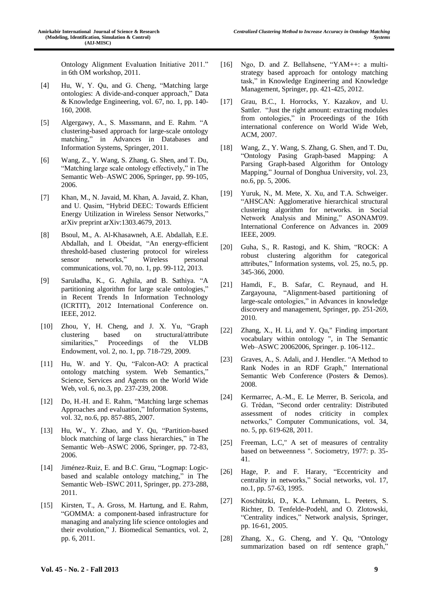Ontology Alignment Evaluation Initiative 2011." in 6th OM workshop, 2011.

- [4] Hu, W, Y. Qu, and G. Cheng, "Matching large ontologies: A divide-and-conquer approach," Data & Knowledge Engineering, vol. 67, no. 1, pp. 140- 160, 2008.
- [5] Algergawy, A., S. Massmann, and E. Rahm. "A clustering-based approach for large-scale ontology matching," in Advances in Databases and Information Systems, Springer, 2011.
- [6] Wang, Z., Y. Wang, S. Zhang, G. Shen, and T. Du, "Matching large scale ontology effectively," in The Semantic Web–ASWC 2006, Springer, pp. 99-105, 2006.
- [7] Khan, M., N. Javaid, M. Khan, A. Javaid, Z. Khan, and U. Qasim, "Hybrid DEEC: Towards Efficient Energy Utilization in Wireless Sensor Networks," arXiv preprint arXiv:1303.4679, 2013.
- [8] Bsoul, M., A. Al-Khasawneh, A.E. Abdallah, E.E. Abdallah, and I. Obeidat, "An energy-efficient threshold-based clustering protocol for wireless sensor networks," Wireless personal communications, vol. 70, no. 1, pp. 99-112, 2013.
- [9] Saruladha, K., G. Aghila, and B. Sathiya. "A partitioning algorithm for large scale ontologies," in Recent Trends In Information Technology (ICRTIT), 2012 International Conference on. IEEE, 2012.
- [10] Zhou, Y, H. Cheng, and J. X. Yu, "Graph clustering based on structural/attribute similarities," Proceedings of the VLDB Endowment, vol. 2, no. 1, pp. 718-729, 2009.
- [11] Hu, W. and Y. Qu, "Falcon-AO: A practical ontology matching system. Web Semantics," Science, Services and Agents on the World Wide Web, vol. 6, no.3, pp. 237-239, 2008.
- [12] Do, H.-H. and E. Rahm, "Matching large schemas Approaches and evaluation," Information Systems, vol. 32, no.6, pp. 857-885, 2007.
- [13] Hu, W., Y. Zhao, and Y. Qu, "Partition-based block matching of large class hierarchies," in The Semantic Web–ASWC 2006, Springer, pp. 72-83, 2006.
- [14] Jiménez-Ruiz, E. and B.C. Grau, "Logmap: Logicbased and scalable ontology matching," in The Semantic Web–ISWC 2011, Springer, pp. 273-288, 2011.
- [15] Kirsten, T., A. Gross, M. Hartung, and E. Rahm, "GOMMA: a component-based infrastructure for managing and analyzing life science ontologies and their evolution," J. Biomedical Semantics, vol. 2, pp. 6, 2011.
- [16] Ngo, D. and Z. Bellahsene, "YAM++: a multistrategy based approach for ontology matching task," in Knowledge Engineering and Knowledge Management, Springer, pp. 421-425, 2012.
- [17] Grau, B.C., I. Horrocks, Y. Kazakov, and U. Sattler. "Just the right amount: extracting modules from ontologies," in Proceedings of the 16th international conference on World Wide Web, ACM, 2007.
- [18] Wang, Z., Y. Wang, S. Zhang, G. Shen, and T. Du, "Ontology Pasing Graph-based Mapping: A Parsing Graph-based Algorithm for Ontology Mapping," Journal of Donghua University, vol. 23, no.6, pp. 5, 2006.
- [19] Yuruk, N., M. Mete, X. Xu, and T.A. Schweiger. "AHSCAN: Agglomerative hierarchical structural clustering algorithm for networks. in Social Network Analysis and Mining," ASONAM'09. International Conference on Advances in. 2009 IEEE, 2009.
- [20] Guha, S., R. Rastogi, and K. Shim, "ROCK: A robust clustering algorithm for categorical attributes," Information systems, vol. 25, no.5, pp. 345-366, 2000.
- [21] Hamdi, F., B. Safar, C. Reynaud, and H. Zargayouna, "Alignment-based partitioning of large-scale ontologies," in Advances in knowledge discovery and management, Springer, pp. 251-269, 2010.
- [22] Zhang, X., H. Li, and Y. Qu," Finding important vocabulary within ontology ", in The Semantic Web–ASWC 20062006, Springer. p. 106-112..
- [23] Graves, A., S. Adali, and J. Hendler. "A Method to Rank Nodes in an RDF Graph," International Semantic Web Conference (Posters & Demos). 2008.
- [24] Kermarrec, A.-M., E. Le Merrer, B. Sericola, and G. Trédan, "Second order centrality: Distributed assessment of nodes criticity in complex networks," Computer Communications, vol. 34, no. 5, pp. 619-628, 2011.
- [25] Freeman, L.C," A set of measures of centrality based on betweenness ". Sociometry, 1977: p. 35- 41.
- [26] Hage, P. and F. Harary, "Eccentricity and centrality in networks," Social networks, vol. 17, no.1, pp. 57-63, 1995.
- [27] Koschützki, D., K.A. Lehmann, L. Peeters, S. Richter, D. Tenfelde-Podehl, and O. Zlotowski, "Centrality indices," Network analysis, Springer, pp. 16-61, 2005.
- [28] Zhang, X., G. Cheng, and Y. Qu, "Ontology summarization based on rdf sentence graph,"